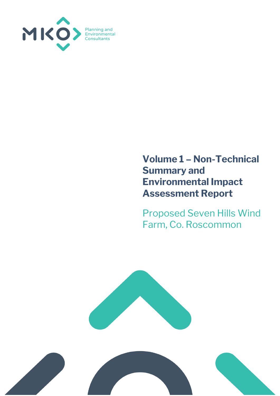

### **Volume 1 – Non-Technical Summary and Environmental Impact Assessment Report**

Proposed Seven Hills Wind Farm, Co. Roscommon



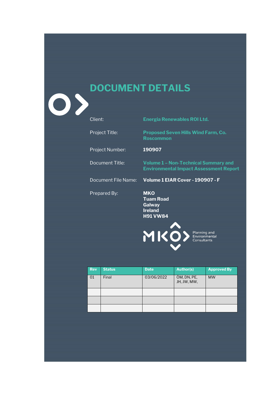# **DOCUMENT DETAILS**

| Client:               | <b>Energia Renewables ROI Ltd.</b>                                                           |
|-----------------------|----------------------------------------------------------------------------------------------|
| <b>Project Title:</b> | <b>Proposed Seven Hills Wind Farm, Co.</b><br><b>Roscommon</b>                               |
| Project Number:       | 190907                                                                                       |
| Document Title:       | <b>Volume 1 - Non-Technical Summary and</b><br><b>Environmental Impact Assessment Report</b> |
| Document File Name:   | Volume 1 EIAR Cover - 190907 - F                                                             |
| Prepared By:          | <b>MKO</b><br><b>Tuam Road</b><br>Galway<br><b>Ireland</b><br><b>H91 VW84</b>                |
|                       | Planning and<br>Environmental<br>Consultants                                                 |

| <b>Rev</b> | <b>Status</b> | <b>Date</b> | <b>Author(s)</b>           | <b>Approved By</b> |
|------------|---------------|-------------|----------------------------|--------------------|
| 01         | Final         | 03/06/2022  | ÓM, DN, PE,<br>JH, JW, MW, | <b>MW</b>          |
|            |               |             |                            |                    |
|            |               |             |                            |                    |
|            |               |             |                            |                    |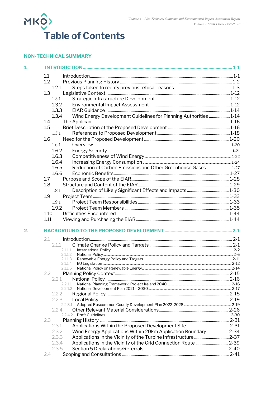

### **NON-TECHNICAL SUMMARY**

| 1. |                                                                           |  |
|----|---------------------------------------------------------------------------|--|
|    | 1.1                                                                       |  |
|    | 1.2                                                                       |  |
|    | 1.2.1                                                                     |  |
|    | 1.3                                                                       |  |
|    | 1.3.1                                                                     |  |
|    | 1.3.2                                                                     |  |
|    | 1.3.3                                                                     |  |
|    | Wind Energy Development Guidelines for Planning Authorities 1-14<br>1.3.4 |  |
|    | 1.4                                                                       |  |
|    | 1.5                                                                       |  |
|    | 1.5.1                                                                     |  |
|    | 1.6                                                                       |  |
|    | 1.6.1                                                                     |  |
|    | 1.6.2                                                                     |  |
|    | 1.6.3                                                                     |  |
|    | 1.6.4                                                                     |  |
|    | Reduction of Carbon Emissions and Other Greenhouse Gases 1-27<br>1.6.5    |  |
|    | 1.6.6                                                                     |  |
|    | 1.7                                                                       |  |
|    | 1.8                                                                       |  |
|    | 1.8.1                                                                     |  |
|    | 1.9                                                                       |  |
|    | 1.9.1                                                                     |  |
|    | 1.9.2                                                                     |  |
|    | 1.10                                                                      |  |
|    | 1.11                                                                      |  |
| 2. |                                                                           |  |
|    |                                                                           |  |
|    | 2.1                                                                       |  |
|    | 2.1.1                                                                     |  |
|    | 2.1.1.1<br>2.1.1.2                                                        |  |
|    | 2.1.1.3                                                                   |  |
|    | 2.1.1.4                                                                   |  |
|    | 2.1.1.5                                                                   |  |
|    | 2.2                                                                       |  |
|    | 2.2.1<br>2.2.1.1                                                          |  |
|    | 2.2.1.2                                                                   |  |
|    | 2.2.2                                                                     |  |
|    | 2.2.3                                                                     |  |
|    | 2.2.3.1                                                                   |  |
|    | 2.2.4                                                                     |  |
|    |                                                                           |  |
|    | 2.3                                                                       |  |
|    | 2.3.1                                                                     |  |
|    | 2.3.2<br>Wind Energy Applications Within 20km Application Boundary  2-34  |  |
|    | 2.3.3                                                                     |  |
|    | 2.3.4                                                                     |  |
|    | 2.3.5                                                                     |  |
|    | 2.4                                                                       |  |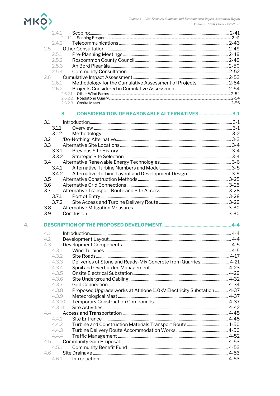

 $\overline{4}$ .

4.6

 $4.6.1$ 

|                  | 2.4.1                                                                        |  |
|------------------|------------------------------------------------------------------------------|--|
|                  | 2.4.1.1                                                                      |  |
|                  | 2.4.2                                                                        |  |
|                  | $2.5 -$                                                                      |  |
|                  | 2.5.1                                                                        |  |
|                  | 2.5.2                                                                        |  |
|                  | 2.5.3                                                                        |  |
|                  | 2.5.4                                                                        |  |
|                  | 2.6                                                                          |  |
|                  | 2.6.1                                                                        |  |
|                  | 2.6.2                                                                        |  |
|                  |                                                                              |  |
|                  |                                                                              |  |
|                  |                                                                              |  |
|                  | <b>CONSIDERATION OF REASONABLE ALTERNATIVES 3-1</b><br>З.                    |  |
| 3.1              |                                                                              |  |
|                  | 3.1.1                                                                        |  |
|                  | 3.1.2                                                                        |  |
|                  | 3.2                                                                          |  |
|                  | 3.3                                                                          |  |
|                  | 3.3.1                                                                        |  |
|                  | 3.3.2                                                                        |  |
|                  | 3.4                                                                          |  |
|                  | 3.4.1                                                                        |  |
|                  | 3.4.2                                                                        |  |
| 3.5              |                                                                              |  |
| 3.6              |                                                                              |  |
| 3.7              |                                                                              |  |
|                  | 3.7.1                                                                        |  |
|                  | 3.7.2                                                                        |  |
| 3.8 <sub>2</sub> |                                                                              |  |
| 3.9              |                                                                              |  |
|                  |                                                                              |  |
|                  |                                                                              |  |
| 4.1              |                                                                              |  |
| 4.2              |                                                                              |  |
| 4.3              |                                                                              |  |
|                  | 4.3.1                                                                        |  |
|                  | 4.3.2                                                                        |  |
|                  | Deliveries of Stone and Ready-Mix Concrete from Quarries 4-21<br>4.3.3       |  |
|                  | 4.3.4                                                                        |  |
|                  | 4.3.5                                                                        |  |
|                  | 4.3.6                                                                        |  |
|                  | 437                                                                          |  |
|                  | Proposed Upgrade works at Athlone 110kV Electricity Substation 4-37<br>4.3.8 |  |
|                  | 4.3.9                                                                        |  |
|                  | 4.3.10                                                                       |  |
|                  | 4.3.11                                                                       |  |
|                  | 4.4                                                                          |  |
|                  | 4.4.1                                                                        |  |
|                  | 4.4.2                                                                        |  |
|                  | 4.4.3                                                                        |  |
|                  | 444                                                                          |  |
| 4.5              |                                                                              |  |
|                  | 4.5.1                                                                        |  |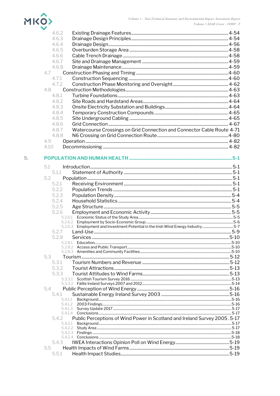## MKO

| 4.6.2                                                                              |  |
|------------------------------------------------------------------------------------|--|
| 4.6.3                                                                              |  |
| 4.6.4                                                                              |  |
| 4.6.5                                                                              |  |
| 4.6.6                                                                              |  |
| 4.6.7                                                                              |  |
| 4.6.8                                                                              |  |
| 4.7                                                                                |  |
| 4.7.1                                                                              |  |
| 4.7.2                                                                              |  |
| 4.8                                                                                |  |
| 4.8.1                                                                              |  |
| 4.8.2                                                                              |  |
| 4.8.3                                                                              |  |
| 4.8.4                                                                              |  |
| 4.8.5                                                                              |  |
| 4.8.6                                                                              |  |
| Watercourse Crossings on Grid Connection and Connector Cable Route 4-71<br>4.8.7   |  |
| 4.8.8                                                                              |  |
| 4.9                                                                                |  |
| 4.10                                                                               |  |
|                                                                                    |  |
|                                                                                    |  |
| 5.1                                                                                |  |
| 5.1.1                                                                              |  |
| 5.2                                                                                |  |
| 5.2.1                                                                              |  |
|                                                                                    |  |
| 5.2.2                                                                              |  |
| 5.2.3                                                                              |  |
| 5.2.4                                                                              |  |
| 5.2.5                                                                              |  |
| 5.2.6                                                                              |  |
|                                                                                    |  |
| 5.2.6.3 Employment and Investment Potential in the Irish Wind Energy Industry5-7   |  |
| 5.2.7                                                                              |  |
| 5.2.8                                                                              |  |
| 5.2.8.1                                                                            |  |
|                                                                                    |  |
| 5.3                                                                                |  |
| 5.3.1                                                                              |  |
| 5.3.2                                                                              |  |
| 5.3.3                                                                              |  |
|                                                                                    |  |
|                                                                                    |  |
| 5.4                                                                                |  |
| 5.4.1                                                                              |  |
| 5.4.1.1                                                                            |  |
|                                                                                    |  |
|                                                                                    |  |
| Public Perceptions of Wind Power in Scotland and Ireland Survey 2005.5-17<br>5.4.2 |  |
| 5.4.2.1                                                                            |  |
|                                                                                    |  |
|                                                                                    |  |
| 5.4.3                                                                              |  |
| 5.5                                                                                |  |
| 5.5.1                                                                              |  |
|                                                                                    |  |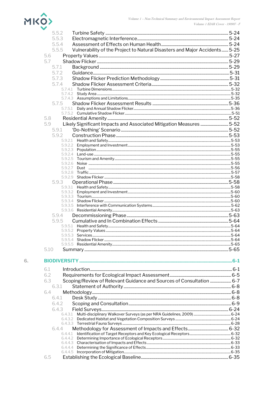

|      | 5.5.2                                                                               |  |
|------|-------------------------------------------------------------------------------------|--|
|      | 5.5.3                                                                               |  |
|      | 5.5.4                                                                               |  |
|      | Vulnerability of the Project to Natural Disasters and Major Accidents 5-25<br>5.5.5 |  |
|      | 5.6                                                                                 |  |
|      | 5.7                                                                                 |  |
|      | 5.7.1                                                                               |  |
|      | 5.7.2                                                                               |  |
|      | 5.7.3                                                                               |  |
|      | 5.7.4                                                                               |  |
|      |                                                                                     |  |
|      |                                                                                     |  |
|      |                                                                                     |  |
|      | 5.7.5                                                                               |  |
|      |                                                                                     |  |
|      |                                                                                     |  |
| 5.8  | 5.9                                                                                 |  |
|      | Likely Significant Impacts and Associated Mitigation Measures  5-52                 |  |
|      | 5.9.1                                                                               |  |
|      | 592                                                                                 |  |
|      |                                                                                     |  |
|      |                                                                                     |  |
|      |                                                                                     |  |
|      |                                                                                     |  |
|      | 5.9.2.7                                                                             |  |
|      | 5.9.2.8                                                                             |  |
|      |                                                                                     |  |
|      | 5.9.3                                                                               |  |
|      |                                                                                     |  |
|      |                                                                                     |  |
|      |                                                                                     |  |
|      |                                                                                     |  |
|      |                                                                                     |  |
|      | 5.9.4                                                                               |  |
|      | 5.9.5                                                                               |  |
|      |                                                                                     |  |
|      |                                                                                     |  |
|      |                                                                                     |  |
|      |                                                                                     |  |
| 5.10 |                                                                                     |  |
|      |                                                                                     |  |
| 6.1  |                                                                                     |  |
| 6.2  |                                                                                     |  |
| 6.3  | Scoping/Review of Relevant Guidance and Sources of Consultation  6-7                |  |
|      | 6.3.1                                                                               |  |
| 6.4  |                                                                                     |  |
|      | 6.4.1                                                                               |  |
|      | 6.4.2                                                                               |  |
|      | 6.4.3                                                                               |  |
|      |                                                                                     |  |

| 5 |  |  |
|---|--|--|
|   |  |  |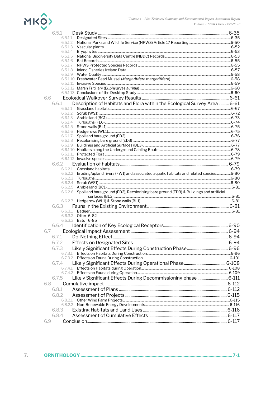

| 6.5.1                                                                                          |  |
|------------------------------------------------------------------------------------------------|--|
| 6.5.1.1                                                                                        |  |
| 6.5.1.2                                                                                        |  |
| 6.5.1.3                                                                                        |  |
| 6.5.1.4                                                                                        |  |
| 6.5.1.5<br>6.5.1.6                                                                             |  |
| 6.5.1.7                                                                                        |  |
|                                                                                                |  |
|                                                                                                |  |
|                                                                                                |  |
|                                                                                                |  |
|                                                                                                |  |
|                                                                                                |  |
| 6.6                                                                                            |  |
| Description of Habitats and Flora within the Ecological Survey Area  6-61<br>6.6.1             |  |
| 6.6.1.1                                                                                        |  |
|                                                                                                |  |
|                                                                                                |  |
| 6.6.1.4<br>6.6.1.5                                                                             |  |
|                                                                                                |  |
| 6.6.1.7                                                                                        |  |
|                                                                                                |  |
|                                                                                                |  |
|                                                                                                |  |
|                                                                                                |  |
|                                                                                                |  |
| 6.6.2                                                                                          |  |
|                                                                                                |  |
| 6.6.2.2 Eroding/upland rivers (FW1) and associated aquatic habitats and related species6-80    |  |
|                                                                                                |  |
|                                                                                                |  |
| 6.6.2.6 Spoil and bare ground (ED2), Recolonising bare ground (ED3) & Buildings and artificial |  |
|                                                                                                |  |
|                                                                                                |  |
| 6.6.3                                                                                          |  |
|                                                                                                |  |
| 6.6.3.2 Otter 6-82                                                                             |  |
| 6.6.3.3 <b>Bats 6-85</b>                                                                       |  |
| 6.6.4                                                                                          |  |
| 6.7                                                                                            |  |
|                                                                                                |  |
| 6.7.2                                                                                          |  |
| 6.7.3                                                                                          |  |
|                                                                                                |  |
|                                                                                                |  |
| 6.7.4                                                                                          |  |
|                                                                                                |  |
|                                                                                                |  |
| Likely Significant Effects During Decommissioning phase  6-111<br>6.7.5                        |  |
| 6.8                                                                                            |  |
| 6.8.1                                                                                          |  |
|                                                                                                |  |
| 6.8.2                                                                                          |  |
|                                                                                                |  |
| 6.8.3                                                                                          |  |
|                                                                                                |  |
| 6.8.4                                                                                          |  |
| 6.9                                                                                            |  |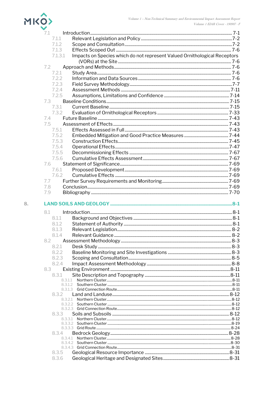

| 7.1     |                                                                           |  |
|---------|---------------------------------------------------------------------------|--|
| 7.1.1   |                                                                           |  |
| 7.1.2   |                                                                           |  |
| 7.1.3   |                                                                           |  |
| 7.1.3.1 | Impacts on Species which do not represent Valued Ornithological Receptors |  |
|         |                                                                           |  |
| 7.2     |                                                                           |  |
| 7.2.1   |                                                                           |  |
| 7.2.2   |                                                                           |  |
| 7.2.3   |                                                                           |  |
| 7.2.4   |                                                                           |  |
| 7.2.5   |                                                                           |  |
| 7.3     |                                                                           |  |
| 7.3.1   |                                                                           |  |
| 7.3.2   |                                                                           |  |
| 7.4     |                                                                           |  |
|         |                                                                           |  |
| 7.5     |                                                                           |  |
| 7.5.1   |                                                                           |  |
| 7.5.2   |                                                                           |  |
| 7.5.3   |                                                                           |  |
| 7.5.4   |                                                                           |  |
| 7.5.5   |                                                                           |  |
| 7.5.6   |                                                                           |  |
| 7.6     |                                                                           |  |
| 7.6.1   |                                                                           |  |
| 7.6.2   |                                                                           |  |
| 7.7     |                                                                           |  |
| 7.8     |                                                                           |  |
| 7.9     |                                                                           |  |
| 8.1     |                                                                           |  |
| 8.1.1   |                                                                           |  |
| 8.1.2   |                                                                           |  |
| 8.1.3   |                                                                           |  |
| 8.1.4   |                                                                           |  |
| 8.2     |                                                                           |  |
| 8.2.1   |                                                                           |  |
| 8.2.2   |                                                                           |  |
| 8.2.3   |                                                                           |  |
| 8.2.4   |                                                                           |  |
| 8.3     |                                                                           |  |
| 8.3.1   |                                                                           |  |
|         | 8.3.1.1                                                                   |  |
|         |                                                                           |  |
|         |                                                                           |  |
| 8.3.2   |                                                                           |  |
|         | 8.3.2.1                                                                   |  |
|         |                                                                           |  |
|         |                                                                           |  |
| 8.3.3   |                                                                           |  |
|         |                                                                           |  |
|         |                                                                           |  |
| 8.3.4   |                                                                           |  |
|         |                                                                           |  |
|         |                                                                           |  |
|         |                                                                           |  |
| 8.3.5   |                                                                           |  |
| 8.3.6   |                                                                           |  |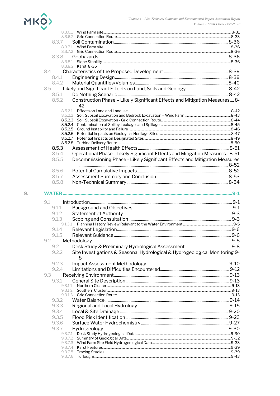

| 8.3.7         |                                                                             |  |
|---------------|-----------------------------------------------------------------------------|--|
|               | 8.3.7.1                                                                     |  |
| 8.3.8         |                                                                             |  |
|               | 8.3.8.1                                                                     |  |
|               | 8.3.8.2 Karst 8-36                                                          |  |
| 8.4           |                                                                             |  |
| 8.4.1         |                                                                             |  |
| 842           |                                                                             |  |
| 8.5           |                                                                             |  |
| 8.5.1         |                                                                             |  |
| 8.5.2         | Construction Phase - Likely Significant Effects and Mitigation Measures 8-  |  |
|               | 42                                                                          |  |
|               | 8.5.2.1                                                                     |  |
|               | 8.5.2.2                                                                     |  |
|               | 8.5.2.3<br>8.5.2.4                                                          |  |
|               |                                                                             |  |
|               |                                                                             |  |
|               |                                                                             |  |
|               |                                                                             |  |
| 8.5.3         |                                                                             |  |
| 8.5.4         | Operational Phase - Likely Significant Effects and Mitigation Measures8-51  |  |
| 8.5.5         | Decommissioning Phase - Likely Significant Effects and Mitigation Measures  |  |
|               |                                                                             |  |
| 8.5.6         |                                                                             |  |
| 8.5.7         |                                                                             |  |
| 8.5.8         |                                                                             |  |
| 9.1           |                                                                             |  |
| 9.1.1         |                                                                             |  |
| 9.1.2         |                                                                             |  |
| 9.1.3         |                                                                             |  |
|               | 9.1.3.1                                                                     |  |
| 9.1.4         |                                                                             |  |
| 9.1.5         |                                                                             |  |
| $9.2^{\circ}$ |                                                                             |  |
| 9.2.1         |                                                                             |  |
| 9.2.2         | Site Investigations & Seasonal Hydrological & Hydrogeological Monitoring 9- |  |
|               | 8                                                                           |  |
| 9.2.3         |                                                                             |  |
| 9.2.4         |                                                                             |  |
| 9.3           |                                                                             |  |
| 9.3.1         |                                                                             |  |
| 9.3.1.1       |                                                                             |  |
|               |                                                                             |  |
|               | 9.3.1.2                                                                     |  |
|               |                                                                             |  |
| 9.3.2         |                                                                             |  |
| 9.3.3         |                                                                             |  |
| 9.3.4         |                                                                             |  |
| 9.3.5         |                                                                             |  |
| 9.3.6         |                                                                             |  |
| 9.3.7         |                                                                             |  |
|               |                                                                             |  |
|               |                                                                             |  |
|               | 9.3.7.4                                                                     |  |
| 9.3.7.5       | 9.3.7.6                                                                     |  |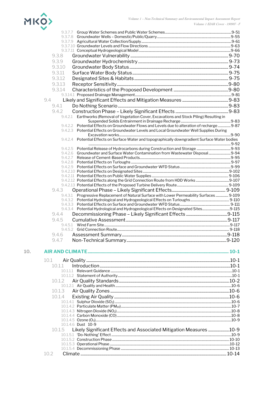

| 9.3.8                                                                                            |  |
|--------------------------------------------------------------------------------------------------|--|
| 9.3.9                                                                                            |  |
| 9.3.10                                                                                           |  |
| 9.3.11                                                                                           |  |
| 9.3.12                                                                                           |  |
|                                                                                                  |  |
| 9.3.13                                                                                           |  |
| 9.3.14                                                                                           |  |
|                                                                                                  |  |
| 9.4                                                                                              |  |
| 9.4.1                                                                                            |  |
| 9.4.2                                                                                            |  |
| 9.4.2.1 Earthworks (Removal of Vegetation Cover, Excavations and Stock Piling) Resulting in      |  |
|                                                                                                  |  |
| 9.4.2.2 Potential Effects on Groundwater Flows and Levels due to alteration of recharge 9-87     |  |
| 9.4.2.3 Potential Effects on Groundwater Levels and Local Groundwater Well Supplies During       |  |
|                                                                                                  |  |
| 9.4.2.4 Potential Effects on Surface Water and topographically downgradient Surface Water bodies |  |
|                                                                                                  |  |
| 9.4.2.6 Groundwater and Surface Water Contamination from Wastewater Disposal 9-94                |  |
|                                                                                                  |  |
|                                                                                                  |  |
|                                                                                                  |  |
|                                                                                                  |  |
|                                                                                                  |  |
|                                                                                                  |  |
|                                                                                                  |  |
| 9.4.3                                                                                            |  |
| 9.4.3.1 Progressive Replacement of Natural Surface with Lower Permeability Surfaces  9-109       |  |
|                                                                                                  |  |
|                                                                                                  |  |
| 9.4.3.4 Potential Hydrological and Hydrogeological Effects on Designated Sites9-115              |  |
| 9.4.4                                                                                            |  |
| 9.4.5                                                                                            |  |
|                                                                                                  |  |
|                                                                                                  |  |
|                                                                                                  |  |
|                                                                                                  |  |
|                                                                                                  |  |
|                                                                                                  |  |
|                                                                                                  |  |
| 10.1                                                                                             |  |
| 10.1.1                                                                                           |  |
|                                                                                                  |  |
|                                                                                                  |  |
| 10.1.2                                                                                           |  |
|                                                                                                  |  |
| 10.1.3                                                                                           |  |
| 10.1.4                                                                                           |  |
|                                                                                                  |  |
|                                                                                                  |  |
|                                                                                                  |  |
|                                                                                                  |  |
|                                                                                                  |  |
| 10.1.4.6 Dust 10-9                                                                               |  |
| Likely Significant Effects and Associated Mitigation Measures 10-9<br>10.1.5                     |  |
|                                                                                                  |  |
|                                                                                                  |  |
|                                                                                                  |  |
|                                                                                                  |  |
| 10.2                                                                                             |  |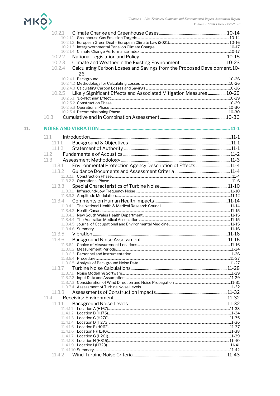

|     | 10.2.1                                                                            |  |
|-----|-----------------------------------------------------------------------------------|--|
|     |                                                                                   |  |
|     |                                                                                   |  |
|     |                                                                                   |  |
|     | 10.2.2                                                                            |  |
|     | 10.2.3                                                                            |  |
|     | Calculating Carbon Losses and Savings from the Proposed Development.10-<br>10.2.4 |  |
|     | 26                                                                                |  |
|     |                                                                                   |  |
|     |                                                                                   |  |
|     |                                                                                   |  |
|     | Likely Significant Effects and Associated Mitigation Measures 10-29<br>10.2.5     |  |
|     |                                                                                   |  |
|     |                                                                                   |  |
|     |                                                                                   |  |
|     | 10.3                                                                              |  |
| 11. |                                                                                   |  |
|     |                                                                                   |  |
|     | 11.1                                                                              |  |
|     | 11.1.1<br>11 1 2                                                                  |  |
|     | 11.2                                                                              |  |
|     | 11.3                                                                              |  |
|     | 11.3.1                                                                            |  |
|     | 11.3.2                                                                            |  |
|     |                                                                                   |  |
|     |                                                                                   |  |
|     | 11.3.3                                                                            |  |
|     |                                                                                   |  |
|     | 11.3.4                                                                            |  |
|     |                                                                                   |  |
|     |                                                                                   |  |
|     |                                                                                   |  |
|     |                                                                                   |  |
|     |                                                                                   |  |
|     | 11.3.5                                                                            |  |
|     |                                                                                   |  |
|     |                                                                                   |  |
|     |                                                                                   |  |
|     |                                                                                   |  |
|     |                                                                                   |  |
|     | 11.3.7                                                                            |  |
|     |                                                                                   |  |
|     |                                                                                   |  |
|     |                                                                                   |  |
|     | 11.3.8                                                                            |  |
|     | 11.4                                                                              |  |
|     | 11.4.1                                                                            |  |
|     |                                                                                   |  |
|     |                                                                                   |  |
|     |                                                                                   |  |
|     |                                                                                   |  |
|     |                                                                                   |  |
|     |                                                                                   |  |
|     |                                                                                   |  |
|     | 11.4.2                                                                            |  |
|     |                                                                                   |  |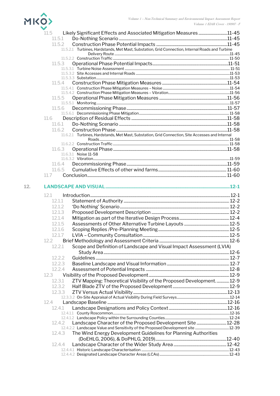

|     | 11.5<br>Likely Significant Effects and Associated Mitigation Measures 11-45                      |  |
|-----|--------------------------------------------------------------------------------------------------|--|
|     | 11.5.1                                                                                           |  |
|     | 11.5.2                                                                                           |  |
|     | 11.5.2.1 Turbines, Hardstands, Met Mast, Substation, Grid Connection, Internal Roads and Turbine |  |
|     |                                                                                                  |  |
|     |                                                                                                  |  |
|     | 11.5.3                                                                                           |  |
|     |                                                                                                  |  |
|     |                                                                                                  |  |
|     |                                                                                                  |  |
|     | 11.5.4                                                                                           |  |
|     |                                                                                                  |  |
|     |                                                                                                  |  |
|     | 11.5.5                                                                                           |  |
|     |                                                                                                  |  |
|     | 11.5.6                                                                                           |  |
|     |                                                                                                  |  |
|     | 11.6                                                                                             |  |
|     | 11.6.1                                                                                           |  |
|     | 11.6.2                                                                                           |  |
|     | 11.6.2.1 Turbines, Hardstands, Met Mast, Substation, Grid Connection, Site Accesses and Internal |  |
|     |                                                                                                  |  |
|     |                                                                                                  |  |
|     | 11.6.3                                                                                           |  |
|     | 11.6.3.1 Noise 11-58                                                                             |  |
|     |                                                                                                  |  |
|     | 11.6.4                                                                                           |  |
|     | 11.6.5                                                                                           |  |
|     | 11.7                                                                                             |  |
| 12. |                                                                                                  |  |
|     |                                                                                                  |  |
|     | 12.1                                                                                             |  |
|     | 12.1.1                                                                                           |  |
|     | 12.1.2                                                                                           |  |
|     | 12.1.3                                                                                           |  |
|     | 12.1.4                                                                                           |  |
|     | 12.1.5                                                                                           |  |
|     |                                                                                                  |  |
|     | 12.1.6                                                                                           |  |
|     | 12.1.7                                                                                           |  |
|     | 12.2                                                                                             |  |
|     | Scope and Definition of Landscape and Visual Impact Assessment (LVIA)<br>12.2.1                  |  |
|     |                                                                                                  |  |
|     | 12.2.2                                                                                           |  |
|     | 12.2.3                                                                                           |  |
|     | 12.2.4                                                                                           |  |
|     | 12.3                                                                                             |  |
|     |                                                                                                  |  |
|     | ZTV Mapping: Theoretical Visibility of the Proposed Development.  12-9<br>12.3.1                 |  |
|     | 12.3.2                                                                                           |  |
|     | 12.3.3                                                                                           |  |
|     |                                                                                                  |  |
|     | 12.4                                                                                             |  |
|     | 12.4.1                                                                                           |  |
|     |                                                                                                  |  |
|     |                                                                                                  |  |
|     | 12.4.2                                                                                           |  |
|     |                                                                                                  |  |
|     | The Wind Energy Development Guidelines for Planning Authorities<br>12.4.3                        |  |
|     |                                                                                                  |  |
|     | 12.4.4                                                                                           |  |
|     |                                                                                                  |  |
|     |                                                                                                  |  |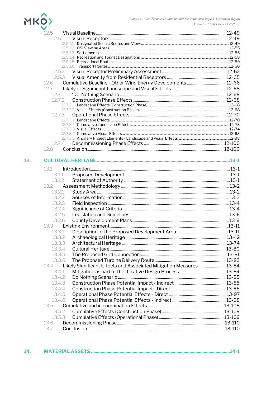

|     | 125                                                                        |  |
|-----|----------------------------------------------------------------------------|--|
|     | 12.5.1                                                                     |  |
|     |                                                                            |  |
|     |                                                                            |  |
|     |                                                                            |  |
|     |                                                                            |  |
|     |                                                                            |  |
|     | 12.5.2                                                                     |  |
|     | 12.5.3                                                                     |  |
|     | 12.6                                                                       |  |
|     | 127                                                                        |  |
|     | 12.7.1                                                                     |  |
|     | 12.7.2                                                                     |  |
|     |                                                                            |  |
|     |                                                                            |  |
|     | 12.7.3                                                                     |  |
|     |                                                                            |  |
|     |                                                                            |  |
|     |                                                                            |  |
|     |                                                                            |  |
|     | 12.7.4                                                                     |  |
|     | 12.8                                                                       |  |
|     |                                                                            |  |
| 13. |                                                                            |  |
|     |                                                                            |  |
|     | 13.1                                                                       |  |
|     | 13.1.1                                                                     |  |
|     | 13.1.2                                                                     |  |
|     | 13.2                                                                       |  |
|     | 13.2.1                                                                     |  |
|     | 13.2.2                                                                     |  |
|     | 13.2.3                                                                     |  |
|     | 13.2.4                                                                     |  |
|     | 13.2.5                                                                     |  |
|     | 13.2.6                                                                     |  |
|     | 13.3                                                                       |  |
|     | 13.3.1                                                                     |  |
|     | 13.3.2                                                                     |  |
|     | 13.3.3                                                                     |  |
|     | 13.3.4                                                                     |  |
|     | 13.3.5                                                                     |  |
|     | 13.3.6                                                                     |  |
|     | Likely Significant Effects and Associated Mitigation Measures13-84<br>13.4 |  |
|     | 13.4.1                                                                     |  |
|     | 13.4.2                                                                     |  |
|     | 13.4.3                                                                     |  |
|     | 13.4.4                                                                     |  |
|     | 13.4.5                                                                     |  |
|     | 13.4.6                                                                     |  |
|     | 13.5                                                                       |  |
|     | 13.5.2                                                                     |  |
|     | 13.5.3                                                                     |  |
|     | 13.6                                                                       |  |
|     | 13.7                                                                       |  |
|     |                                                                            |  |

| 14. |  |  |
|-----|--|--|
|     |  |  |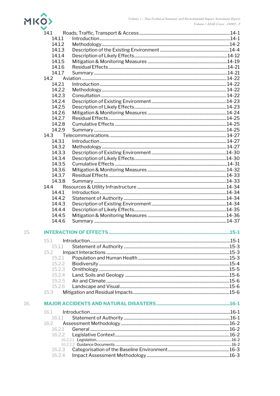

| 14.1             |  |
|------------------|--|
| 14.1.1           |  |
| 14.1.2           |  |
| 14.1.3           |  |
| 14.1.4           |  |
| 14.1.5           |  |
| 14.1.6           |  |
| 14.1.7           |  |
|                  |  |
| 14.2.1           |  |
| 14.2.2           |  |
| 14.2.3           |  |
| 14.2.4           |  |
|                  |  |
| 14.2.5           |  |
| 14.2.6           |  |
| 14.2.7           |  |
| 14.2.8           |  |
| 14.2.9           |  |
| 14.3             |  |
| 14.3.1           |  |
| 14.3.2           |  |
| 14.3.3           |  |
| 14.3.4           |  |
| 14.3.5           |  |
| 14.3.6           |  |
| 14.3.7           |  |
| 14.3.8           |  |
| 14.4             |  |
| 14.4.1           |  |
| 14.4.2           |  |
|                  |  |
| 14.4.3           |  |
| 14.4.4           |  |
| 14.4.5           |  |
| 14.4.6           |  |
|                  |  |
| 15.1             |  |
| 15.1.1           |  |
| 15.2             |  |
| 15.2.1           |  |
| 15.2.2           |  |
| 15.2.3           |  |
| 15.2.4           |  |
| 15.2.5           |  |
| 15.2.6           |  |
| 15.3             |  |
|                  |  |
|                  |  |
| 16.1             |  |
| 16.1.1           |  |
| 16.2             |  |
| 16.2.1           |  |
| 16.2.2           |  |
|                  |  |
|                  |  |
| 16.2.3<br>16.2.4 |  |
|                  |  |